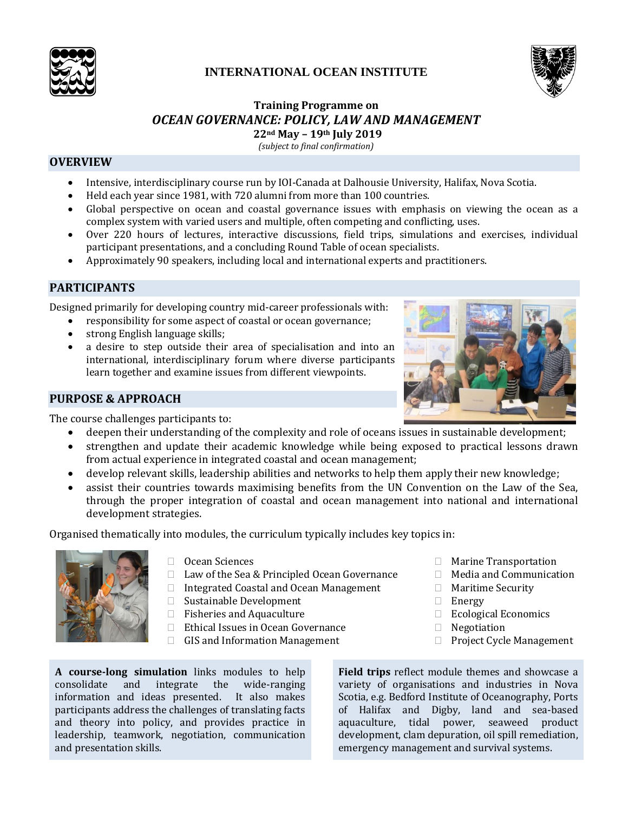

# **INTERNATIONAL OCEAN INSTITUTE**



#### **Training Programme on** *OCEAN GOVERNANCE: POLICY, LAW AND MANAGEMENT* **22nd May – 19th July 2019**

*(subject to final confirmation)*

### **OVERVIEW**

- Intensive, interdisciplinary course run by IOI-Canada at Dalhousie University, Halifax, Nova Scotia.
- Held each year since 1981, with 720 alumni from more than 100 countries.
- Global perspective on ocean and coastal governance issues with emphasis on viewing the ocean as a complex system with varied users and multiple, often competing and conflicting, uses.
- Over 220 hours of lectures, interactive discussions, field trips, simulations and exercises, individual participant presentations, and a concluding Round Table of ocean specialists.
- Approximately 90 speakers, including local and international experts and practitioners.

## **PARTICIPANTS**

Designed primarily for developing country mid-career professionals with:

- responsibility for some aspect of coastal or ocean governance;
- strong English language skills;
- a desire to step outside their area of specialisation and into an international, interdisciplinary forum where diverse participants learn together and examine issues from different viewpoints.

### **PURPOSE & APPROACH**

The course challenges participants to:

- deepen their understanding of the complexity and role of oceans issues in sustainable development;
- strengthen and update their academic knowledge while being exposed to practical lessons drawn from actual experience in integrated coastal and ocean management;
- develop relevant skills, leadership abilities and networks to help them apply their new knowledge;
- assist their countries towards maximising benefits from the UN Convention on the Law of the Sea, through the proper integration of coastal and ocean management into national and international development strategies.

Organised thematically into modules, the curriculum typically includes key topics in:



- □ Ocean Sciences
- $\Box$  Law of the Sea & Principled Ocean Governance
- □ Integrated Coastal and Ocean Management
- □ Sustainable Development
- □ Fisheries and Aquaculture
- □ Ethical Issues in Ocean Governance
- $\Box$  GIS and Information Management

**A course-long simulation** links modules to help consolidate and integrate the wide-ranging information and ideas presented. It also makes participants address the challenges of translating facts and theory into policy, and provides practice in leadership, teamwork, negotiation, communication and presentation skills.

**Field trips** reflect module themes and showcase a variety of organisations and industries in Nova Scotia, e.g. Bedford Institute of Oceanography, Ports of Halifax and Digby, land and sea-based aquaculture, tidal power, seaweed product development, clam depuration, oil spill remediation, emergency management and survival systems.

□ Energy

□ Negotiation



□ Marine Transportation □ Media and Communication

Maritime Security

□ Ecological Economics

□ Project Cycle Management